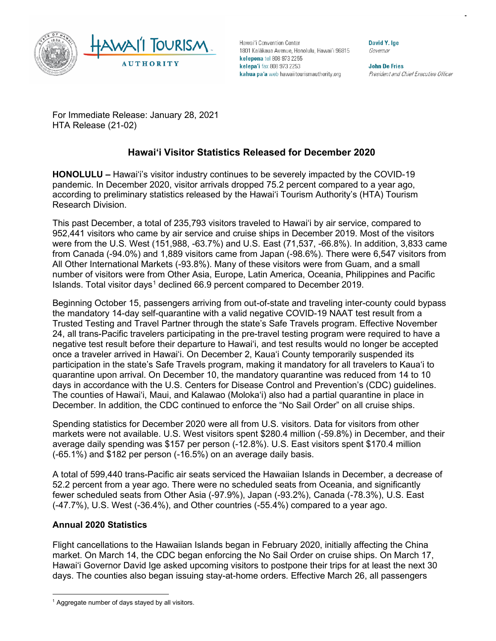

Hawai'i Convention Center 1801 Kalākaua Avenue, Honolulu, Hawai'i 96815 kelepona tel 808 973 2255 kelepa'i fax 808 973 2253 kahua pa'a web hawaiitourismauthority.org

David Y. Ige Governor

**John De Fries** President and Chief Executive Officer

For Immediate Release: January 28, 2021 HTA Release (21-02)

# **Hawai'i Visitor Statistics Released for December 2020**

**HONOLULU –** Hawai'i's visitor industry continues to be severely impacted by the COVID-19 pandemic. In December 2020, visitor arrivals dropped 75.2 percent compared to a year ago, according to preliminary statistics released by the Hawai'i Tourism Authority's (HTA) Tourism Research Division.

This past December, a total of 235,793 visitors traveled to Hawai'i by air service, compared to 952,441 visitors who came by air service and cruise ships in December 2019. Most of the visitors were from the U.S. West (151,988, -63.7%) and U.S. East (71,537, -66.8%). In addition, 3,833 came from Canada (-94.0%) and 1,889 visitors came from Japan (-98.6%). There were 6,547 visitors from All Other International Markets (-93.8%). Many of these visitors were from Guam, and a small number of visitors were from Other Asia, Europe, Latin America, Oceania, Philippines and Pacific Islands. Total visitor days<sup>[1](#page-0-0)</sup> declined 66.9 percent compared to December 2019.

Beginning October 15, passengers arriving from out-of-state and traveling inter-county could bypass the mandatory 14-day self-quarantine with a valid negative COVID-19 NAAT test result from a Trusted Testing and Travel Partner through the state's Safe Travels program. Effective November 24, all trans-Pacific travelers participating in the pre-travel testing program were required to have a negative test result before their departure to Hawai'i, and test results would no longer be accepted once a traveler arrived in Hawai'i. On December 2, Kaua'i County temporarily suspended its participation in the state's Safe Travels program, making it mandatory for all travelers to Kaua'i to quarantine upon arrival. On December 10, the mandatory quarantine was reduced from 14 to 10 days in accordance with the U.S. Centers for Disease Control and Prevention's (CDC) guidelines. The counties of Hawai'i, Maui, and Kalawao (Moloka'i) also had a partial quarantine in place in December. In addition, the CDC continued to enforce the "No Sail Order" on all cruise ships.

Spending statistics for December 2020 were all from U.S. visitors. Data for visitors from other markets were not available. U.S. West visitors spent \$280.4 million (-59.8%) in December, and their average daily spending was \$157 per person (-12.8%). U.S. East visitors spent \$170.4 million (-65.1%) and \$182 per person (-16.5%) on an average daily basis.

A total of 599,440 trans-Pacific air seats serviced the Hawaiian Islands in December, a decrease of 52.2 percent from a year ago. There were no scheduled seats from Oceania, and significantly fewer scheduled seats from Other Asia (-97.9%), Japan (-93.2%), Canada (-78.3%), U.S. East (-47.7%), U.S. West (-36.4%), and Other countries (-55.4%) compared to a year ago.

# **Annual 2020 Statistics**

Flight cancellations to the Hawaiian Islands began in February 2020, initially affecting the China market. On March 14, the CDC began enforcing the No Sail Order on cruise ships. On March 17, Hawai'i Governor David Ige asked upcoming visitors to postpone their trips for at least the next 30 days. The counties also began issuing stay-at-home orders. Effective March 26, all passengers

<span id="page-0-0"></span> $1$  Aggregate number of days stayed by all visitors.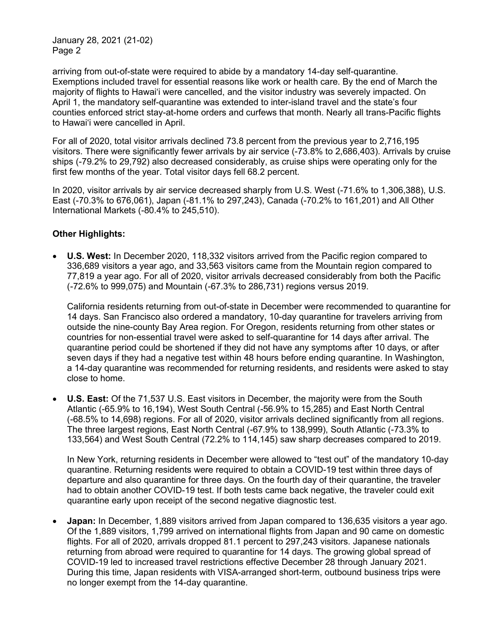arriving from out-of-state were required to abide by a mandatory 14-day self-quarantine. Exemptions included travel for essential reasons like work or health care. By the end of March the majority of flights to Hawai'i were cancelled, and the visitor industry was severely impacted. On April 1, the mandatory self-quarantine was extended to inter-island travel and the state's four counties enforced strict stay-at-home orders and curfews that month. Nearly all trans-Pacific flights to Hawai'i were cancelled in April.

For all of 2020, total visitor arrivals declined 73.8 percent from the previous year to 2,716,195 visitors. There were significantly fewer arrivals by air service (-73.8% to 2,686,403). Arrivals by cruise ships (-79.2% to 29,792) also decreased considerably, as cruise ships were operating only for the first few months of the year. Total visitor days fell 68.2 percent.

In 2020, visitor arrivals by air service decreased sharply from U.S. West (-71.6% to 1,306,388), U.S. East (-70.3% to 676,061), Japan (-81.1% to 297,243), Canada (-70.2% to 161,201) and All Other International Markets (-80.4% to 245,510).

# **Other Highlights:**

• **U.S. West:** In December 2020, 118,332 visitors arrived from the Pacific region compared to 336,689 visitors a year ago, and 33,563 visitors came from the Mountain region compared to 77,819 a year ago. For all of 2020, visitor arrivals decreased considerably from both the Pacific (-72.6% to 999,075) and Mountain (-67.3% to 286,731) regions versus 2019.

California residents returning from out-of-state in December were recommended to quarantine for 14 days. San Francisco also ordered a mandatory, 10-day quarantine for travelers arriving from outside the nine-county Bay Area region. For Oregon, residents returning from other states or countries for non-essential travel were asked to self-quarantine for 14 days after arrival. The quarantine period could be shortened if they did not have any symptoms after 10 days, or after seven days if they had a negative test within 48 hours before ending quarantine. In Washington, a 14-day quarantine was recommended for returning residents, and residents were asked to stay close to home.

• **U.S. East:** Of the 71,537 U.S. East visitors in December, the majority were from the South Atlantic (-65.9% to 16,194), West South Central (-56.9% to 15,285) and East North Central (-68.5% to 14,698) regions. For all of 2020, visitor arrivals declined significantly from all regions. The three largest regions, East North Central (-67.9% to 138,999), South Atlantic (-73.3% to 133,564) and West South Central (72.2% to 114,145) saw sharp decreases compared to 2019.

In New York, returning residents in December were allowed to "test out" of the mandatory 10-day quarantine. Returning residents were required to obtain a COVID-19 test within three days of departure and also quarantine for three days. On the fourth day of their quarantine, the traveler had to obtain another COVID-19 test. If both tests came back negative, the traveler could exit quarantine early upon receipt of the second negative diagnostic test.

• **Japan:** In December, 1,889 visitors arrived from Japan compared to 136,635 visitors a year ago. Of the 1,889 visitors, 1,799 arrived on international flights from Japan and 90 came on domestic flights. For all of 2020, arrivals dropped 81.1 percent to 297,243 visitors. Japanese nationals returning from abroad were required to quarantine for 14 days. The growing global spread of COVID-19 led to increased travel restrictions effective December 28 through January 2021. During this time, Japan residents with VISA-arranged short-term, outbound business trips were no longer exempt from the 14-day quarantine.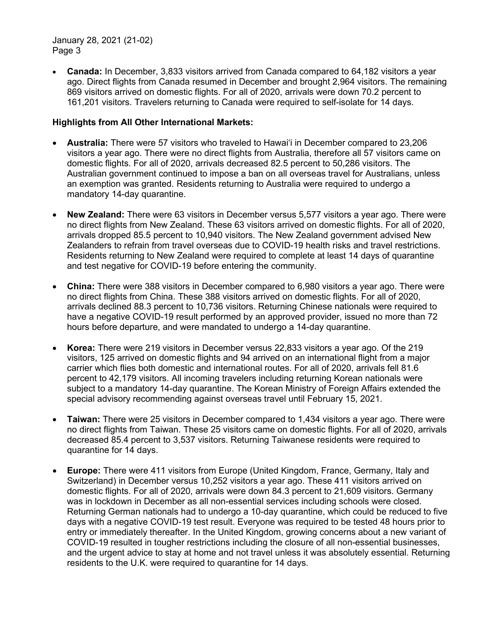• **Canada:** In December, 3,833 visitors arrived from Canada compared to 64,182 visitors a year ago. Direct flights from Canada resumed in December and brought 2,964 visitors. The remaining 869 visitors arrived on domestic flights. For all of 2020, arrivals were down 70.2 percent to 161,201 visitors. Travelers returning to Canada were required to self-isolate for 14 days.

## **Highlights from All Other International Markets:**

- **Australia:** There were 57 visitors who traveled to Hawai'i in December compared to 23,206 visitors a year ago. There were no direct flights from Australia, therefore all 57 visitors came on domestic flights. For all of 2020, arrivals decreased 82.5 percent to 50,286 visitors. The Australian government continued to impose a ban on all overseas travel for Australians, unless an exemption was granted. Residents returning to Australia were required to undergo a mandatory 14-day quarantine.
- **New Zealand:** There were 63 visitors in December versus 5,577 visitors a year ago. There were no direct flights from New Zealand. These 63 visitors arrived on domestic flights. For all of 2020, arrivals dropped 85.5 percent to 10,940 visitors. The New Zealand government advised New Zealanders to refrain from travel overseas due to COVID-19 health risks and travel restrictions. Residents returning to New Zealand were required to complete at least 14 days of quarantine and test negative for COVID-19 before entering the community.
- **China:** There were 388 visitors in December compared to 6,980 visitors a year ago. There were no direct flights from China. These 388 visitors arrived on domestic flights. For all of 2020, arrivals declined 88.3 percent to 10,736 visitors. Returning Chinese nationals were required to have a negative COVID-19 result performed by an approved provider, issued no more than 72 hours before departure, and were mandated to undergo a 14-day quarantine.
- **Korea:** There were 219 visitors in December versus 22,833 visitors a year ago. Of the 219 visitors, 125 arrived on domestic flights and 94 arrived on an international flight from a major carrier which flies both domestic and international routes. For all of 2020, arrivals fell 81.6 percent to 42,179 visitors. All incoming travelers including returning Korean nationals were subject to a mandatory 14-day quarantine. The Korean Ministry of Foreign Affairs extended the special advisory recommending against overseas travel until February 15, 2021.
- **Taiwan:** There were 25 visitors in December compared to 1,434 visitors a year ago. There were no direct flights from Taiwan. These 25 visitors came on domestic flights. For all of 2020, arrivals decreased 85.4 percent to 3,537 visitors. Returning Taiwanese residents were required to quarantine for 14 days.
- **Europe:** There were 411 visitors from Europe (United Kingdom, France, Germany, Italy and Switzerland) in December versus 10,252 visitors a year ago. These 411 visitors arrived on domestic flights. For all of 2020, arrivals were down 84.3 percent to 21,609 visitors. Germany was in lockdown in December as all non-essential services including schools were closed. Returning German nationals had to undergo a 10-day quarantine, which could be reduced to five days with a negative COVID-19 test result. Everyone was required to be tested 48 hours prior to entry or immediately thereafter. In the United Kingdom, growing concerns about a new variant of COVID-19 resulted in tougher restrictions including the closure of all non-essential businesses, and the urgent advice to stay at home and not travel unless it was absolutely essential. Returning residents to the U.K. were required to quarantine for 14 days.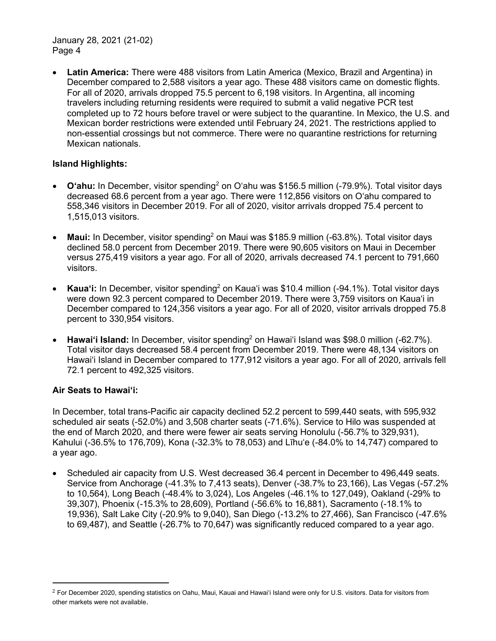• **Latin America:** There were 488 visitors from Latin America (Mexico, Brazil and Argentina) in December compared to 2,588 visitors a year ago. These 488 visitors came on domestic flights. For all of 2020, arrivals dropped 75.5 percent to 6,198 visitors. In Argentina, all incoming travelers including returning residents were required to submit a valid [negative PCR test](https://www.boletinoficial.gob.ar/detalleAviso/primera/237995/20201202) completed up to 72 hours before travel or were subject to the quarantine. In Mexico, the U.S. and Mexican border restrictions were extended until February 24, 2021. The restrictions applied to non-essential crossings but not commerce. There were no quarantine restrictions for returning Mexican nationals.

# **Island Highlights:**

- **O'ahu:** In December, visitor spending[2](#page-3-0) on O'ahu was \$156.5 million (-79.9%). Total visitor days decreased 68.6 percent from a year ago. There were 112,856 visitors on O'ahu compared to 558,346 visitors in December 2019. For all of 2020, visitor arrivals dropped 75.4 percent to 1,515,013 visitors.
- **Maui:** In December, visitor spending<sup>2</sup> on Maui was \$185.9 million (-63.8%). Total visitor days declined 58.0 percent from December 2019. There were 90,605 visitors on Maui in December versus 275,419 visitors a year ago. For all of 2020, arrivals decreased 74.1 percent to 791,660 visitors.
- **Kaua'i:** In December, visitor spending<sup>2</sup> on Kaua'i was \$10.4 million (-94.1%). Total visitor days were down 92.3 percent compared to December 2019. There were 3,759 visitors on Kaua'i in December compared to 124,356 visitors a year ago. For all of 2020, visitor arrivals dropped 75.8 percent to 330,954 visitors.
- **Hawai'i Island:** In December, visitor spending2 on Hawai'i Island was \$98.0 million (-62.7%). Total visitor days decreased 58.4 percent from December 2019. There were 48,134 visitors on Hawai'i Island in December compared to 177,912 visitors a year ago. For all of 2020, arrivals fell 72.1 percent to 492,325 visitors.

## **Air Seats to Hawai'i:**

In December, total trans-Pacific air capacity declined 52.2 percent to 599,440 seats, with 595,932 scheduled air seats (-52.0%) and 3,508 charter seats (-71.6%). Service to Hilo was suspended at the end of March 2020, and there were fewer air seats serving Honolulu (-56.7% to 329,931), Kahului (-36.5% to 176,709), Kona (-32.3% to 78,053) and Līhu'e (-84.0% to 14,747) compared to a year ago.

• Scheduled air capacity from U.S. West decreased 36.4 percent in December to 496,449 seats. Service from Anchorage (-41.3% to 7,413 seats), Denver (-38.7% to 23,166), Las Vegas (-57.2% to 10,564), Long Beach (-48.4% to 3,024), Los Angeles (-46.1% to 127,049), Oakland (-29% to 39,307), Phoenix (-15.3% to 28,609), Portland (-56.6% to 16,881), Sacramento (-18.1% to 19,936), Salt Lake City (-20.9% to 9,040), San Diego (-13.2% to 27,466), San Francisco (-47.6% to 69,487), and Seattle (-26.7% to 70,647) was significantly reduced compared to a year ago.

<span id="page-3-0"></span> $2$  For December 2020, spending statistics on Oahu, Maui, Kauai and Hawai'i Island were only for U.S. visitors. Data for visitors from other markets were not available.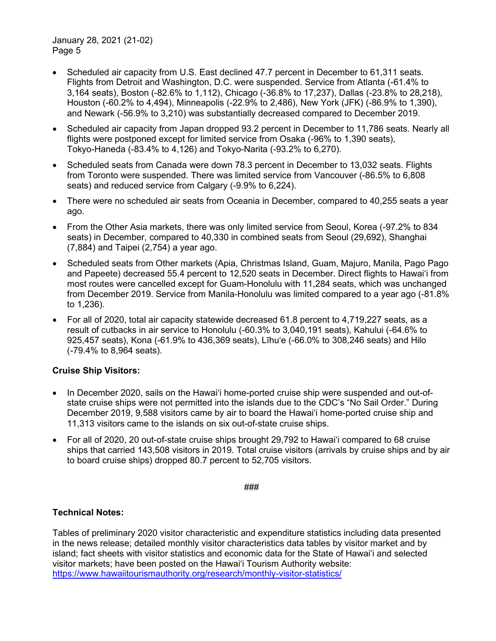- Scheduled air capacity from U.S. East declined 47.7 percent in December to 61.311 seats. Flights from Detroit and Washington, D.C. were suspended. Service from Atlanta (-61.4% to 3,164 seats), Boston (-82.6% to 1,112), Chicago (-36.8% to 17,237), Dallas (-23.8% to 28,218), Houston (-60.2% to 4,494), Minneapolis (-22.9% to 2,486), New York (JFK) (-86.9% to 1,390), and Newark (-56.9% to 3,210) was substantially decreased compared to December 2019.
- Scheduled air capacity from Japan dropped 93.2 percent in December to 11,786 seats. Nearly all flights were postponed except for limited service from Osaka (-96% to 1,390 seats), Tokyo-Haneda (-83.4% to 4,126) and Tokyo-Narita (-93.2% to 6,270).
- Scheduled seats from Canada were down 78.3 percent in December to 13,032 seats. Flights from Toronto were suspended. There was limited service from Vancouver (-86.5% to 6,808 seats) and reduced service from Calgary (-9.9% to 6,224).
- There were no scheduled air seats from Oceania in December, compared to 40,255 seats a year ago.
- From the Other Asia markets, there was only limited service from Seoul, Korea (-97.2% to 834 seats) in December, compared to 40,330 in combined seats from Seoul (29,692), Shanghai (7,884) and Taipei (2,754) a year ago.
- Scheduled seats from Other markets (Apia, Christmas Island, Guam, Majuro, Manila, Pago Pago and Papeete) decreased 55.4 percent to 12,520 seats in December. Direct flights to Hawai'i from most routes were cancelled except for Guam-Honolulu with 11,284 seats, which was unchanged from December 2019. Service from Manila-Honolulu was limited compared to a year ago (-81.8% to 1,236).
- For all of 2020, total air capacity statewide decreased 61.8 percent to 4,719,227 seats, as a result of cutbacks in air service to Honolulu (-60.3% to 3,040,191 seats), Kahului (-64.6% to 925,457 seats), Kona (-61.9% to 436,369 seats), Līhu'e (-66.0% to 308,246 seats) and Hilo (-79.4% to 8,964 seats).

# **Cruise Ship Visitors:**

- In December 2020, sails on the Hawai'i home-ported cruise ship were suspended and out-ofstate cruise ships were not permitted into the islands due to the CDC's "No Sail Order." During December 2019, 9,588 visitors came by air to board the Hawai'i home-ported cruise ship and 11,313 visitors came to the islands on six out-of-state cruise ships.
- For all of 2020, 20 out-of-state cruise ships brought 29,792 to Hawai'i compared to 68 cruise ships that carried 143,508 visitors in 2019. Total cruise visitors (arrivals by cruise ships and by air to board cruise ships) dropped 80.7 percent to 52,705 visitors.

###

## **Technical Notes:**

Tables of preliminary 2020 visitor characteristic and expenditure statistics including data presented in the news release; detailed monthly visitor characteristics data tables by visitor market and by island; fact sheets with visitor statistics and economic data for the State of Hawai'i and selected visitor markets; have been posted on the Hawai'i Tourism Authority website: <https://www.hawaiitourismauthority.org/research/monthly-visitor-statistics/>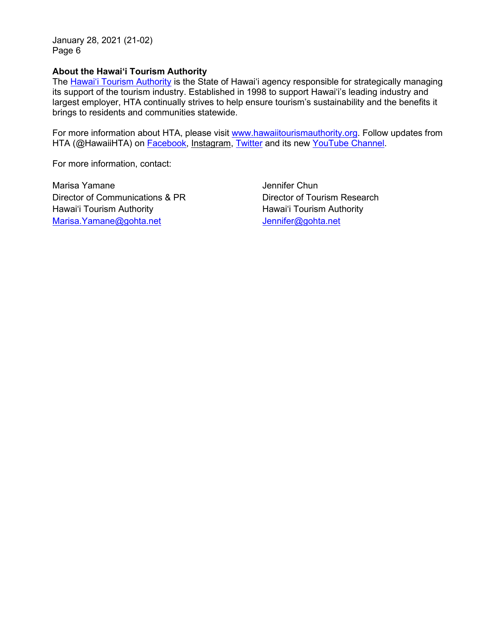#### **About the Hawai'i Tourism Authority**

The [Hawai'i Tourism Authority](http://www.hawaiitourismauthority.org/) is the State of Hawai'i agency responsible for strategically managing its support of the tourism industry. Established in 1998 to support Hawai'i's leading industry and largest employer, HTA continually strives to help ensure tourism's sustainability and the benefits it brings to residents and communities statewide.

For more information about HTA, please visit [www.hawaiitourismauthority.org.](http://www.hawaiitourismauthority.org/) Follow updates from HTA (@HawaiiHTA) on [Facebook,](http://www.facebook.com/HawaiiHTA) [Instagram,](https://www.instagram.com/hawaiihta/) [Twitter](http://twitter.com/HawaiiHTA) and its new [YouTube Channel.](https://www.youtube.com/channel/UC2wGcMQoCmGhTy-L7rBN0_w?view_as=subscriber)

For more information, contact:

Marisa Yamane Director of Communications & PR Hawai'i Tourism Authority [Marisa.Yamane@gohta.net](mailto:Marisa.Yamane@gohta.net)

Jennifer Chun Director of Tourism Research Hawai'i Tourism Authority [Jennifer@gohta.net](mailto:Jennifer@gohta.net)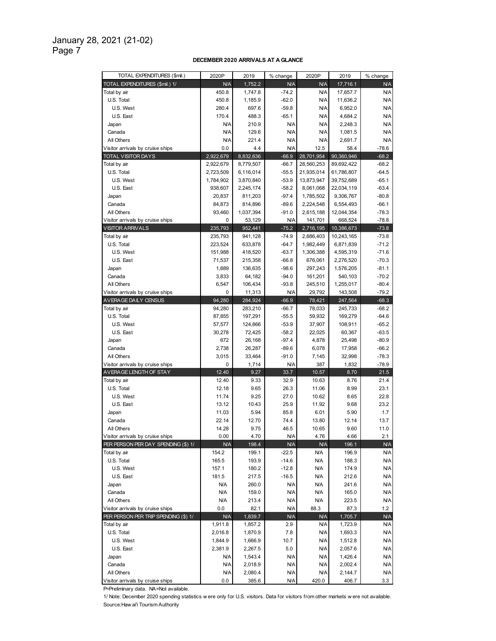#### **DECEMBER 2020 ARRIVALS AT A GLANCE**

| TOTAL EXPENDITURES (\$mil.)          | 2020P      | 2019               | % change   | 2020P                    | 2019               | % change                 |
|--------------------------------------|------------|--------------------|------------|--------------------------|--------------------|--------------------------|
| TOTAL EXPENDITURES (Smil.) 1/        | N/A        | 1.752.2            | <b>N/A</b> | <b>N/A</b>               | 17,716.1           | N/A                      |
| Total by air                         | 450.8      | 1,747.8            | $-74.2$    | <b>N/A</b>               | 17,657.7           | N/A                      |
| U.S. Total                           | 450.8      | 1,185.9            | $-62.0$    | <b>N/A</b>               | 11,636.2           | <b>N/A</b>               |
| U.S. West                            | 280.4      | 697.6              | $-59.8$    | <b>N/A</b>               | 6,952.0            | <b>N/A</b>               |
| U.S. East                            | 170.4      | 488.3              | $-65.1$    | <b>N/A</b>               | 4,684.2            | <b>N/A</b>               |
| Japan                                | <b>N/A</b> | 210.9              | N/A        | <b>N/A</b>               | 2,248.3            | <b>N/A</b>               |
| Canada                               | <b>N/A</b> | 129.6              | N/A        | <b>N/A</b>               | 1,081.5            | <b>N/A</b>               |
| All Others                           | <b>N/A</b> | 221.4              | N/A        | <b>N/A</b>               | 2,691.7            | <b>N/A</b>               |
| Visitor arrivals by cruise ships     | 0.0        | 4.4                | N/A        | 12.5                     | 58.4               | $-78.6$                  |
| <b>TOTAL VISITOR DAYS</b>            | 2,922,679  | 8,832,636          | $-66.9$    | 28,701,954               | 90,360,946         | $-68.2$                  |
| Total by air                         | 2,922,679  | 8,779,507          | $-66.7$    | 28,560,253               | 89,692,422         | $-68.2$                  |
| U.S. Total                           | 2,723,509  | 6,116,014          | $-55.5$    | 21,935,014               | 61,786,807         | $-64.5$                  |
| U.S. West                            | 1,784,902  | 3,870,840          | $-53.9$    | 13,873,947               | 39,752,689         | $-65.1$                  |
| U.S. East                            | 938,607    | 2,245,174          | $-58.2$    | 8,061,068                | 22,034,119         | $-63.4$                  |
| Japan                                | 20,837     | 811,203            | $-97.4$    | 1,785,502                | 9,306,767          | $-80.8$                  |
| Canada                               | 84,873     | 814,896            | $-89.6$    | 2,224,548                | 6,554,493          | $-66.1$                  |
| All Others                           | 93,460     | 1,037,394          | $-91.0$    | 2,615,188                | 12,044,354         | $-78.3$                  |
| Visitor arrivals by cruise ships     | 0          | 53,129             | N/A        | 141,701                  | 668,524            | $-78.8$                  |
| <b>VISITOR ARRIVALS</b>              | 235,793    | 952,441            | $-75.2$    | 2,716,195                | 10,386,673         | $-73.8$                  |
| Total by air                         | 235,793    | 941,128            | $-74.9$    | 2,686,403                | 10,243,165         | $-73.8$                  |
| U.S. Total                           | 223,524    | 633,878            | $-64.7$    | 1,982,449                | 6,871,839          | $-71.2$                  |
| U.S. West                            | 151,988    | 418,520            | $-63.7$    | 1,306,388                | 4,595,319          | $-71.6$                  |
| U.S. East                            | 71,537     | 215,358            | $-66.8$    | 676,061                  | 2,276,520          | $-70.3$                  |
| Japan                                | 1,889      | 136,635            | $-98.6$    | 297,243                  | 1,576,205          | $-81.1$                  |
| Canada                               | 3,833      | 64,182             | $-94.0$    | 161,201                  | 540,103            | $-70.2$                  |
| All Others                           | 6,547      | 106,434            | $-93.8$    | 245,510                  | 1,255,017          | $-80.4$                  |
| Visitor arrivals by cruise ships     | 0          | 11,313             | <b>N/A</b> | 29,792                   | 143,508            | $-79.2$                  |
| AVERAGE DAILY CENSUS                 | 94,280     | 284,924            | $-66.9$    | 78,421                   | 247,564            | $-68.3$                  |
| Total by air                         | 94,280     | 283,210            | $-66.7$    | 78,033                   | 245,733            | $-68.2$                  |
| U.S. Total                           | 87,855     | 197,291            | $-55.5$    | 59,932                   | 169,279            | $-64.6$                  |
| U.S. West                            | 57,577     | 124,866            | $-53.9$    | 37,907                   | 108,911            | $-65.2$                  |
| U.S. East                            | 30,278     | 72,425             | $-58.2$    | 22,025                   | 60,367             | $-63.5$                  |
| Japan                                | 672        | 26,168             | $-97.4$    | 4,878                    | 25,498             | $-80.9$                  |
| Canada                               | 2,738      | 26,287             | $-89.6$    | 6,078                    | 17,958             | $-66.2$                  |
| All Others                           | 3,015      | 33,464             | $-91.0$    | 7,145                    | 32,998             | $-78.3$                  |
| Visitor arrivals by cruise ships     | 0          | 1,714              | <b>N/A</b> | 387                      | 1,832              | $-78.9$                  |
| AVERAGE LENGTH OF STAY               | 12.40      | 9.27               | 33.7       | 10.57                    | 8.70               | 21.5                     |
| Total by air                         | 12.40      | 9.33               | 32.9       | 10.63                    | 8.76               | 21.4                     |
| U.S. Total                           | 12.18      | 9.65               | 26.3       | 11.06                    | 8.99               | 23.1                     |
| U.S. West                            | 11.74      | 9.25               | 27.0       | 10.62                    | 8.65               | 22.8                     |
| U.S. East                            | 13.12      | 10.43              | 25.9       | 11.92                    | 9.68               | 23.2                     |
| Japan                                | 11.03      | 5.94               | 85.8       | 6.01                     | 5.90               | 1.7                      |
| Canada                               | 22.14      | 12.70              | 74.4       | 13.80                    | 12.14              | 13.7                     |
| All Others                           | 14.28      | 9.75               | 46.5       | 10.65                    | 9.60               | 11.0                     |
| Visitor arrivals by cruise ships     | 0.00       | 4.70               | <b>N/A</b> | 4.76                     | 4.66               | 2.1                      |
| PER PERSON PER DAY SPENDING (\$) 1/  | <b>N/A</b> | 198.4              | N/A        | <b>N/A</b>               | 196.1              | <b>N/A</b>               |
| Total by air                         | 154.2      | 199.1              | $-22.5$    | N/A                      | 196.9              | <b>N/A</b>               |
| U.S. Total                           | 165.5      | 193.9              | $-14.6$    | N/A                      | 188.3              | <b>N/A</b>               |
| U.S. West                            | 157.1      | 180.2              | $-12.8$    | <b>N/A</b>               | 174.9              | <b>N/A</b>               |
| U.S. East                            | 181.5      | 217.5              | $-16.5$    | <b>N/A</b>               | 212.6              | <b>N/A</b>               |
| Japan                                | N/A        | 260.0              | N/A        | <b>N/A</b>               | 241.6              | N/A                      |
| Canada                               | <b>N/A</b> | 159.0              | N/A        | ΝA                       | 165.0              | ΝA                       |
| All Others                           | <b>N/A</b> | 213.4              | N/A        | <b>N/A</b>               | 223.5              | N/A                      |
| Visitor arrivals by cruise ships     | 0.0        | 82.1               | N/A        | 88.3                     | 87.3               | 1.2                      |
| PER PERSON PER TRIP SPENDING (\$) 1/ | N/A        | 1,839.7            | <b>N/A</b> | <b>N/A</b>               | 1,705.7            | <b>N/A</b>               |
| Total by air                         | 1,911.8    | 1,857.2            | 2.9        | <b>N/A</b>               | 1,723.9            | N/A                      |
| U.S. Total                           | 2,016.8    | 1,870.9            | 7.8        | <b>N/A</b>               | 1,693.3            | N/A                      |
| U.S. West                            | 1,844.9    | 1,666.9            | 10.7       | <b>N/A</b>               | 1,512.8            | N/A                      |
| U.S. East                            | 2,381.9    | 2,267.5            | 5.0        | <b>N/A</b>               | 2,057.6            | N/A                      |
| Japan                                | N/A        | 1,543.4            | N/A        | <b>N/A</b>               | 1,426.4            | N/A                      |
| Canada                               |            |                    |            |                          |                    |                          |
|                                      |            |                    |            |                          |                    |                          |
| All Others                           | N/A<br>N/A | 2,018.9<br>2,080.4 | N/A<br>N/A | <b>N/A</b><br><b>N/A</b> | 2,002.4<br>2,144.7 | <b>N/A</b><br><b>N/A</b> |

P=Preliminary data. NA=Not available.

1/ Note: December 2020 spending statistics w ere only for U.S. visitors. Data for visitors from other markets w ere not available. Source:Haw ai'i Tourism Authority